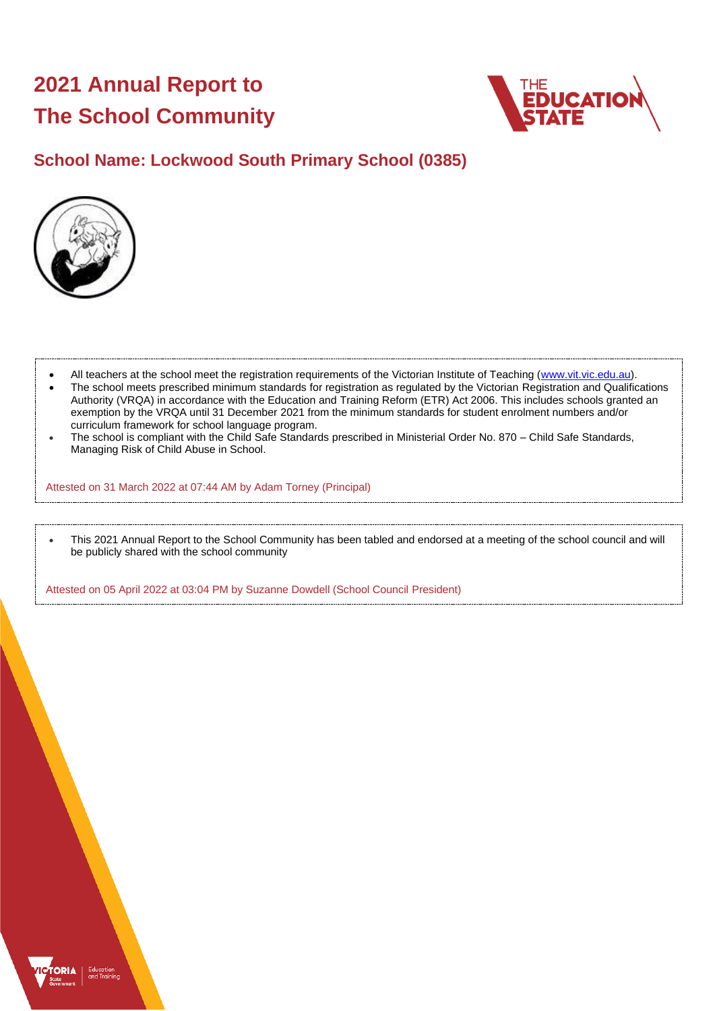# **2021 Annual Report to The School Community**



# **School Name: Lockwood South Primary School (0385)**



- All teachers at the school meet the registration requirements of the Victorian Institute of Teaching [\(www.vit.vic.edu.au\)](https://www.vit.vic.edu.au/).
- The school meets prescribed minimum standards for registration as regulated by the Victorian Registration and Qualifications Authority (VRQA) in accordance with the Education and Training Reform (ETR) Act 2006. This includes schools granted an exemption by the VRQA until 31 December 2021 from the minimum standards for student enrolment numbers and/or curriculum framework for school language program.
- The school is compliant with the Child Safe Standards prescribed in Ministerial Order No. 870 Child Safe Standards, Managing Risk of Child Abuse in School.

Attested on 31 March 2022 at 07:44 AM by Adam Torney (Principal)

• This 2021 Annual Report to the School Community has been tabled and endorsed at a meeting of the school council and will be publicly shared with the school community

Attested on 05 April 2022 at 03:04 PM by Suzanne Dowdell (School Council President)

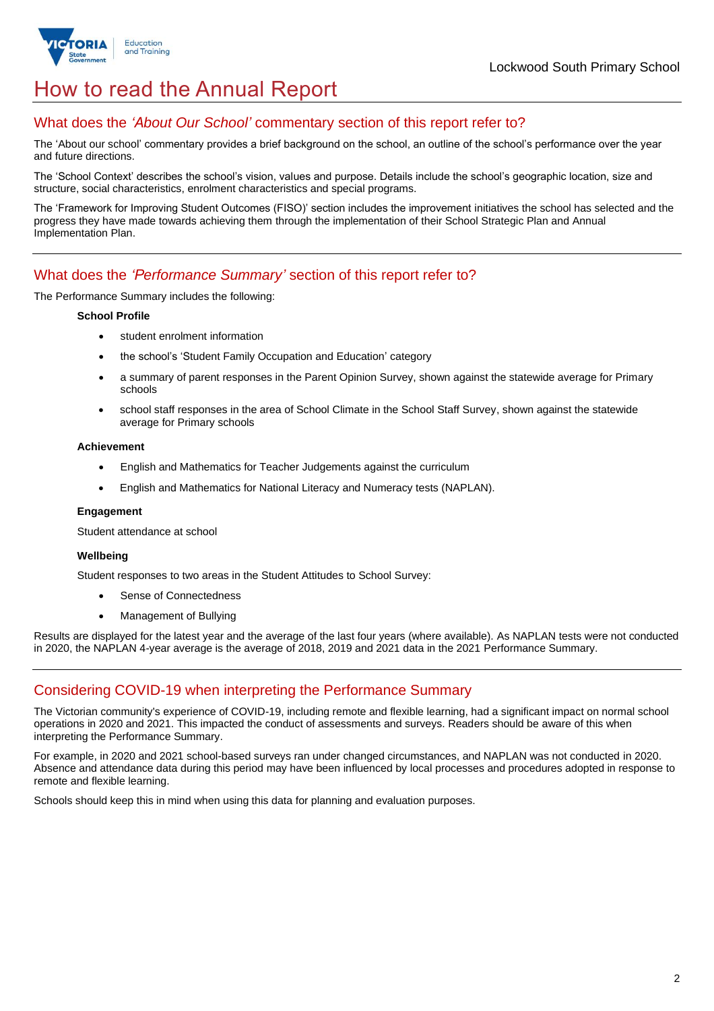

# How to read the Annual Report

### What does the *'About Our School'* commentary section of this report refer to?

The 'About our school' commentary provides a brief background on the school, an outline of the school's performance over the year and future directions.

The 'School Context' describes the school's vision, values and purpose. Details include the school's geographic location, size and structure, social characteristics, enrolment characteristics and special programs.

The 'Framework for Improving Student Outcomes (FISO)' section includes the improvement initiatives the school has selected and the progress they have made towards achieving them through the implementation of their School Strategic Plan and Annual Implementation Plan.

### What does the *'Performance Summary'* section of this report refer to?

The Performance Summary includes the following:

### **School Profile**

- student enrolment information
- the school's 'Student Family Occupation and Education' category
- a summary of parent responses in the Parent Opinion Survey, shown against the statewide average for Primary schools
- school staff responses in the area of School Climate in the School Staff Survey, shown against the statewide average for Primary schools

### **Achievement**

- English and Mathematics for Teacher Judgements against the curriculum
- English and Mathematics for National Literacy and Numeracy tests (NAPLAN).

### **Engagement**

Student attendance at school

### **Wellbeing**

Student responses to two areas in the Student Attitudes to School Survey:

- Sense of Connectedness
- Management of Bullying

Results are displayed for the latest year and the average of the last four years (where available). As NAPLAN tests were not conducted in 2020, the NAPLAN 4-year average is the average of 2018, 2019 and 2021 data in the 2021 Performance Summary.

## Considering COVID-19 when interpreting the Performance Summary

The Victorian community's experience of COVID-19, including remote and flexible learning, had a significant impact on normal school operations in 2020 and 2021. This impacted the conduct of assessments and surveys. Readers should be aware of this when interpreting the Performance Summary.

For example, in 2020 and 2021 school-based surveys ran under changed circumstances, and NAPLAN was not conducted in 2020. Absence and attendance data during this period may have been influenced by local processes and procedures adopted in response to remote and flexible learning.

Schools should keep this in mind when using this data for planning and evaluation purposes.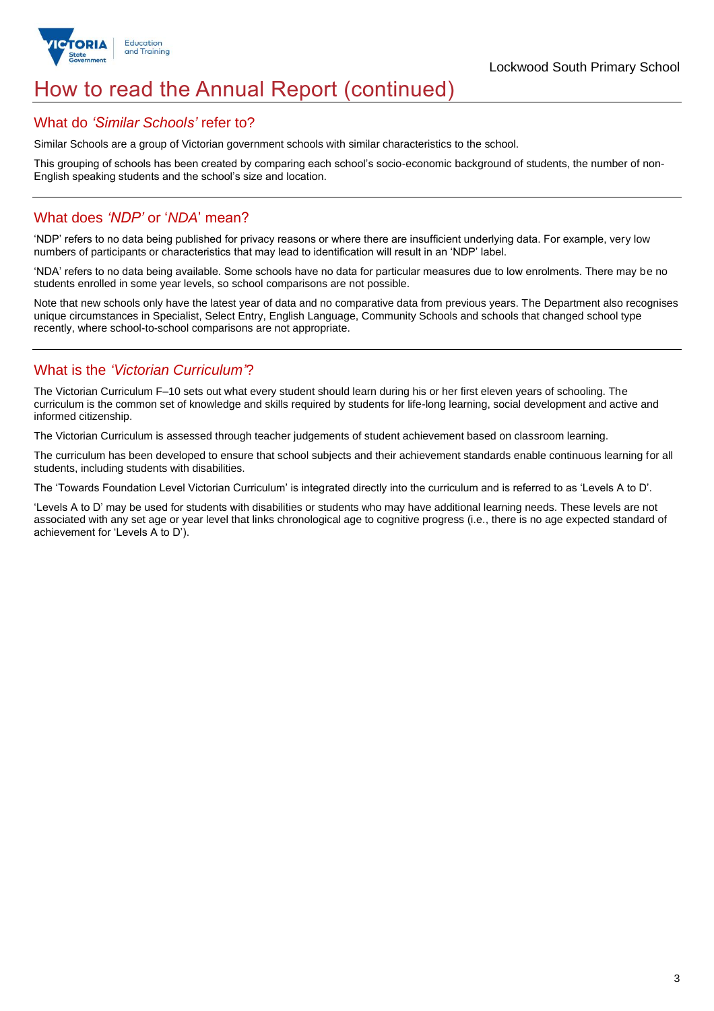

# How to read the Annual Report (continued)

### What do *'Similar Schools'* refer to?

Similar Schools are a group of Victorian government schools with similar characteristics to the school.

This grouping of schools has been created by comparing each school's socio-economic background of students, the number of non-English speaking students and the school's size and location.

### What does *'NDP'* or '*NDA*' mean?

'NDP' refers to no data being published for privacy reasons or where there are insufficient underlying data. For example, very low numbers of participants or characteristics that may lead to identification will result in an 'NDP' label.

'NDA' refers to no data being available. Some schools have no data for particular measures due to low enrolments. There may be no students enrolled in some year levels, so school comparisons are not possible.

Note that new schools only have the latest year of data and no comparative data from previous years. The Department also recognises unique circumstances in Specialist, Select Entry, English Language, Community Schools and schools that changed school type recently, where school-to-school comparisons are not appropriate.

## What is the *'Victorian Curriculum'*?

The Victorian Curriculum F–10 sets out what every student should learn during his or her first eleven years of schooling. The curriculum is the common set of knowledge and skills required by students for life-long learning, social development and active and informed citizenship.

The Victorian Curriculum is assessed through teacher judgements of student achievement based on classroom learning.

The curriculum has been developed to ensure that school subjects and their achievement standards enable continuous learning for all students, including students with disabilities.

The 'Towards Foundation Level Victorian Curriculum' is integrated directly into the curriculum and is referred to as 'Levels A to D'.

'Levels A to D' may be used for students with disabilities or students who may have additional learning needs. These levels are not associated with any set age or year level that links chronological age to cognitive progress (i.e., there is no age expected standard of achievement for 'Levels A to D').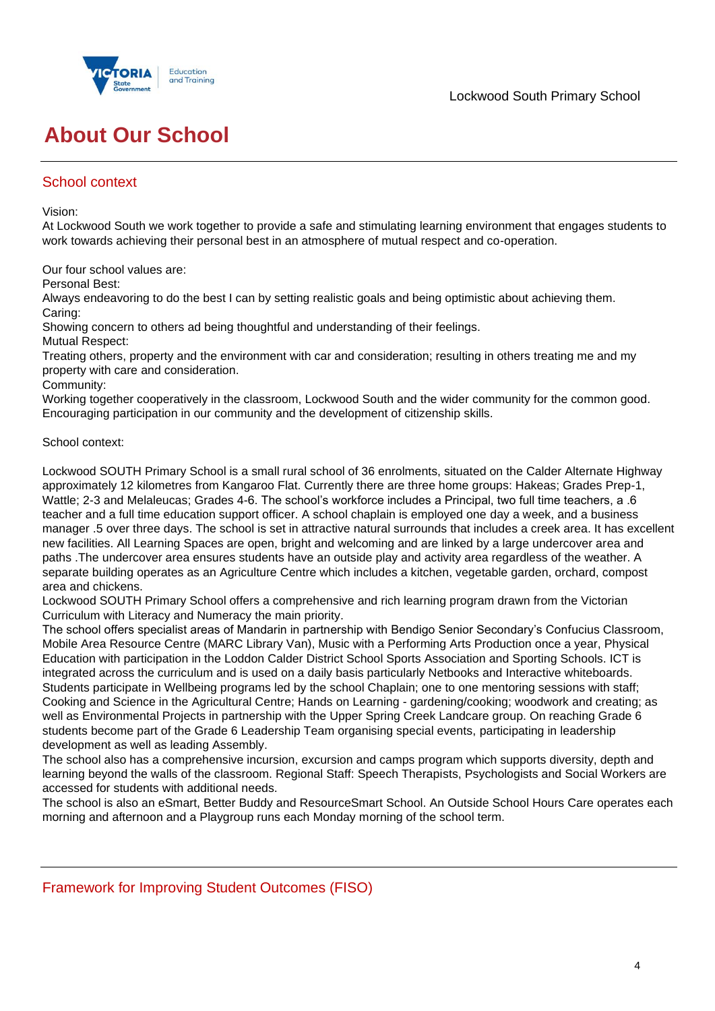

# **About Our School**

# School context

Vision:

At Lockwood South we work together to provide a safe and stimulating learning environment that engages students to work towards achieving their personal best in an atmosphere of mutual respect and co-operation.

Our four school values are:

Personal Best:

Always endeavoring to do the best I can by setting realistic goals and being optimistic about achieving them. Caring:

Showing concern to others ad being thoughtful and understanding of their feelings.

Mutual Respect:

Treating others, property and the environment with car and consideration; resulting in others treating me and my property with care and consideration.

Community:

Working together cooperatively in the classroom, Lockwood South and the wider community for the common good. Encouraging participation in our community and the development of citizenship skills.

### School context:

Lockwood SOUTH Primary School is a small rural school of 36 enrolments, situated on the Calder Alternate Highway approximately 12 kilometres from Kangaroo Flat. Currently there are three home groups: Hakeas; Grades Prep-1, Wattle; 2-3 and Melaleucas; Grades 4-6. The school's workforce includes a Principal, two full time teachers, a .6 teacher and a full time education support officer. A school chaplain is employed one day a week, and a business manager .5 over three days. The school is set in attractive natural surrounds that includes a creek area. It has excellent new facilities. All Learning Spaces are open, bright and welcoming and are linked by a large undercover area and paths .The undercover area ensures students have an outside play and activity area regardless of the weather. A separate building operates as an Agriculture Centre which includes a kitchen, vegetable garden, orchard, compost area and chickens.

Lockwood SOUTH Primary School offers a comprehensive and rich learning program drawn from the Victorian Curriculum with Literacy and Numeracy the main priority.

The school offers specialist areas of Mandarin in partnership with Bendigo Senior Secondary's Confucius Classroom, Mobile Area Resource Centre (MARC Library Van), Music with a Performing Arts Production once a year, Physical Education with participation in the Loddon Calder District School Sports Association and Sporting Schools. ICT is integrated across the curriculum and is used on a daily basis particularly Netbooks and Interactive whiteboards. Students participate in Wellbeing programs led by the school Chaplain; one to one mentoring sessions with staff; Cooking and Science in the Agricultural Centre; Hands on Learning - gardening/cooking; woodwork and creating; as well as Environmental Projects in partnership with the Upper Spring Creek Landcare group. On reaching Grade 6 students become part of the Grade 6 Leadership Team organising special events, participating in leadership development as well as leading Assembly.

The school also has a comprehensive incursion, excursion and camps program which supports diversity, depth and learning beyond the walls of the classroom. Regional Staff: Speech Therapists, Psychologists and Social Workers are accessed for students with additional needs.

The school is also an eSmart, Better Buddy and ResourceSmart School. An Outside School Hours Care operates each morning and afternoon and a Playgroup runs each Monday morning of the school term.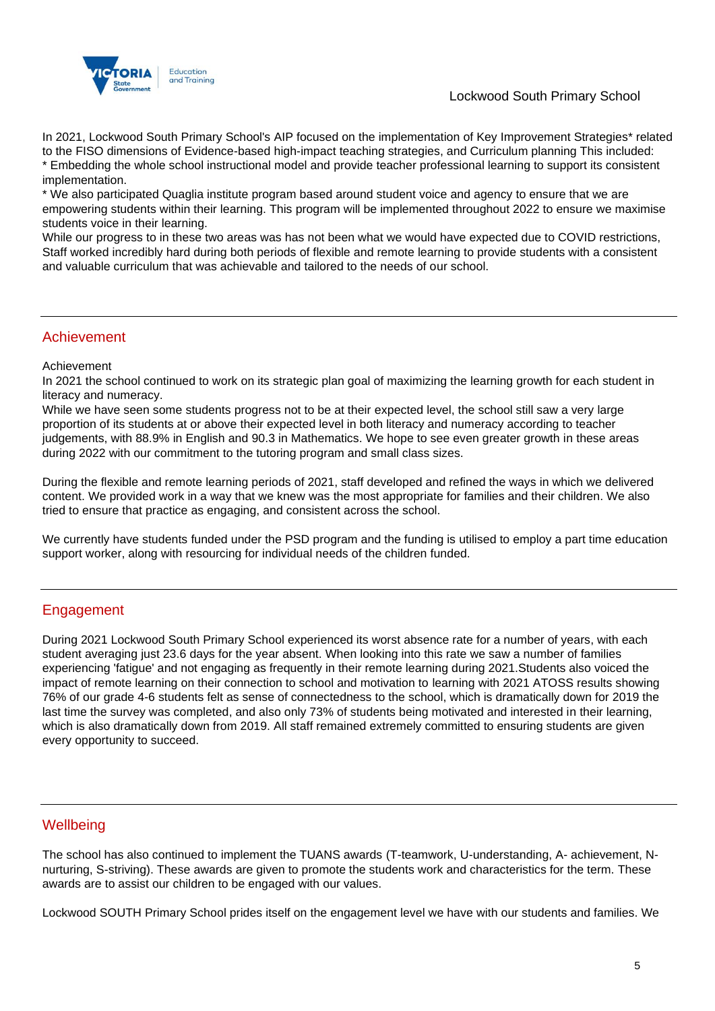

### Lockwood South Primary School

In 2021, Lockwood South Primary School's AIP focused on the implementation of Key Improvement Strategies\* related to the FISO dimensions of Evidence-based high-impact teaching strategies, and Curriculum planning This included: \* Embedding the whole school instructional model and provide teacher professional learning to support its consistent implementation.

\* We also participated Quaglia institute program based around student voice and agency to ensure that we are empowering students within their learning. This program will be implemented throughout 2022 to ensure we maximise students voice in their learning.

While our progress to in these two areas was has not been what we would have expected due to COVID restrictions, Staff worked incredibly hard during both periods of flexible and remote learning to provide students with a consistent and valuable curriculum that was achievable and tailored to the needs of our school.

### Achievement

### Achievement

In 2021 the school continued to work on its strategic plan goal of maximizing the learning growth for each student in literacy and numeracy.

While we have seen some students progress not to be at their expected level, the school still saw a very large proportion of its students at or above their expected level in both literacy and numeracy according to teacher judgements, with 88.9% in English and 90.3 in Mathematics. We hope to see even greater growth in these areas during 2022 with our commitment to the tutoring program and small class sizes.

During the flexible and remote learning periods of 2021, staff developed and refined the ways in which we delivered content. We provided work in a way that we knew was the most appropriate for families and their children. We also tried to ensure that practice as engaging, and consistent across the school.

We currently have students funded under the PSD program and the funding is utilised to employ a part time education support worker, along with resourcing for individual needs of the children funded.

## Engagement

During 2021 Lockwood South Primary School experienced its worst absence rate for a number of years, with each student averaging just 23.6 days for the year absent. When looking into this rate we saw a number of families experiencing 'fatigue' and not engaging as frequently in their remote learning during 2021.Students also voiced the impact of remote learning on their connection to school and motivation to learning with 2021 ATOSS results showing 76% of our grade 4-6 students felt as sense of connectedness to the school, which is dramatically down for 2019 the last time the survey was completed, and also only 73% of students being motivated and interested in their learning, which is also dramatically down from 2019. All staff remained extremely committed to ensuring students are given every opportunity to succeed.

## **Wellbeing**

The school has also continued to implement the TUANS awards (T-teamwork, U-understanding, A- achievement, Nnurturing, S-striving). These awards are given to promote the students work and characteristics for the term. These awards are to assist our children to be engaged with our values.

Lockwood SOUTH Primary School prides itself on the engagement level we have with our students and families. We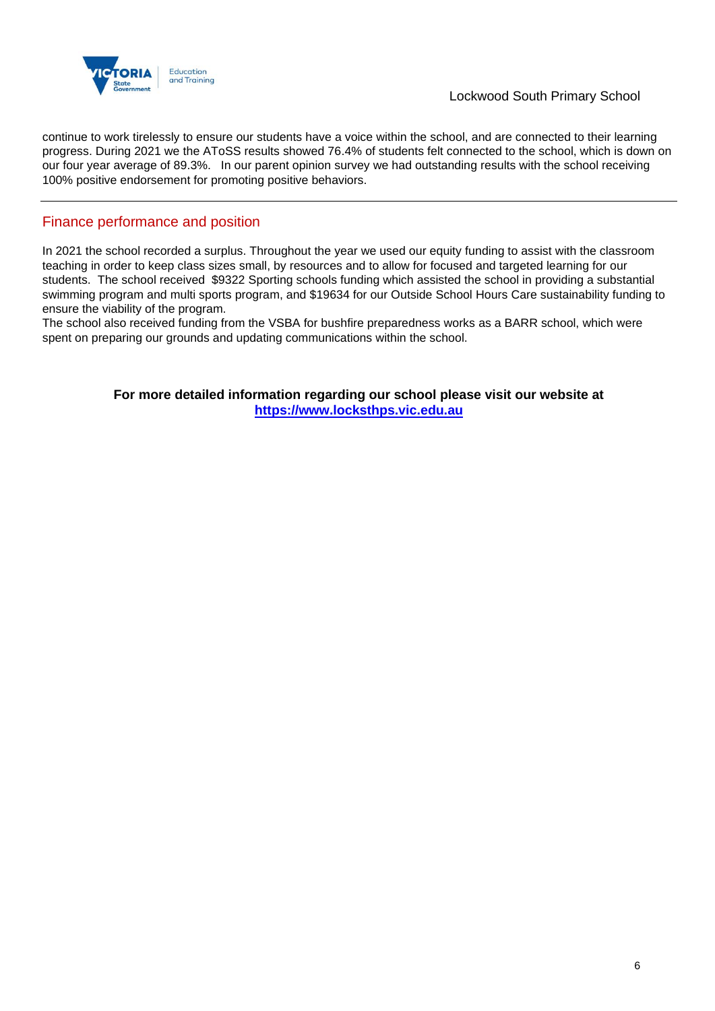

continue to work tirelessly to ensure our students have a voice within the school, and are connected to their learning progress. During 2021 we the AToSS results showed 76.4% of students felt connected to the school, which is down on our four year average of 89.3%. In our parent opinion survey we had outstanding results with the school receiving 100% positive endorsement for promoting positive behaviors.

### Finance performance and position

In 2021 the school recorded a surplus. Throughout the year we used our equity funding to assist with the classroom teaching in order to keep class sizes small, by resources and to allow for focused and targeted learning for our students. The school received \$9322 Sporting schools funding which assisted the school in providing a substantial swimming program and multi sports program, and \$19634 for our Outside School Hours Care sustainability funding to ensure the viability of the program.

The school also received funding from the VSBA for bushfire preparedness works as a BARR school, which were spent on preparing our grounds and updating communications within the school.

> **For more detailed information regarding our school please visit our website at [https://www.locksthps.vic.edu.au](https://www.locksthps.vic.edu.au/)**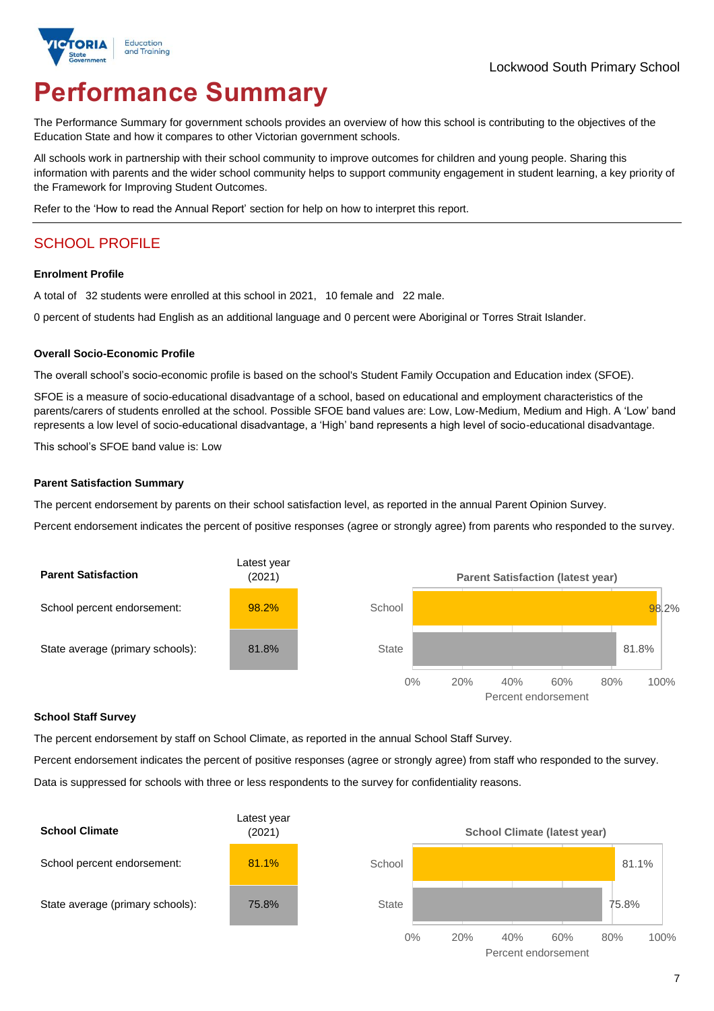

# **Performance Summary**

The Performance Summary for government schools provides an overview of how this school is contributing to the objectives of the Education State and how it compares to other Victorian government schools.

All schools work in partnership with their school community to improve outcomes for children and young people. Sharing this information with parents and the wider school community helps to support community engagement in student learning, a key priority of the Framework for Improving Student Outcomes.

Refer to the 'How to read the Annual Report' section for help on how to interpret this report.

# SCHOOL PROFILE

### **Enrolment Profile**

A total of 32 students were enrolled at this school in 2021, 10 female and 22 male.

0 percent of students had English as an additional language and 0 percent were Aboriginal or Torres Strait Islander.

### **Overall Socio-Economic Profile**

The overall school's socio-economic profile is based on the school's Student Family Occupation and Education index (SFOE).

SFOE is a measure of socio-educational disadvantage of a school, based on educational and employment characteristics of the parents/carers of students enrolled at the school. Possible SFOE band values are: Low, Low-Medium, Medium and High. A 'Low' band represents a low level of socio-educational disadvantage, a 'High' band represents a high level of socio-educational disadvantage.

This school's SFOE band value is: Low

### **Parent Satisfaction Summary**

The percent endorsement by parents on their school satisfaction level, as reported in the annual Parent Opinion Survey.

Percent endorsement indicates the percent of positive responses (agree or strongly agree) from parents who responded to the survey.



#### **School Staff Survey**

The percent endorsement by staff on School Climate, as reported in the annual School Staff Survey.

Percent endorsement indicates the percent of positive responses (agree or strongly agree) from staff who responded to the survey. Data is suppressed for schools with three or less respondents to the survey for confidentiality reasons.

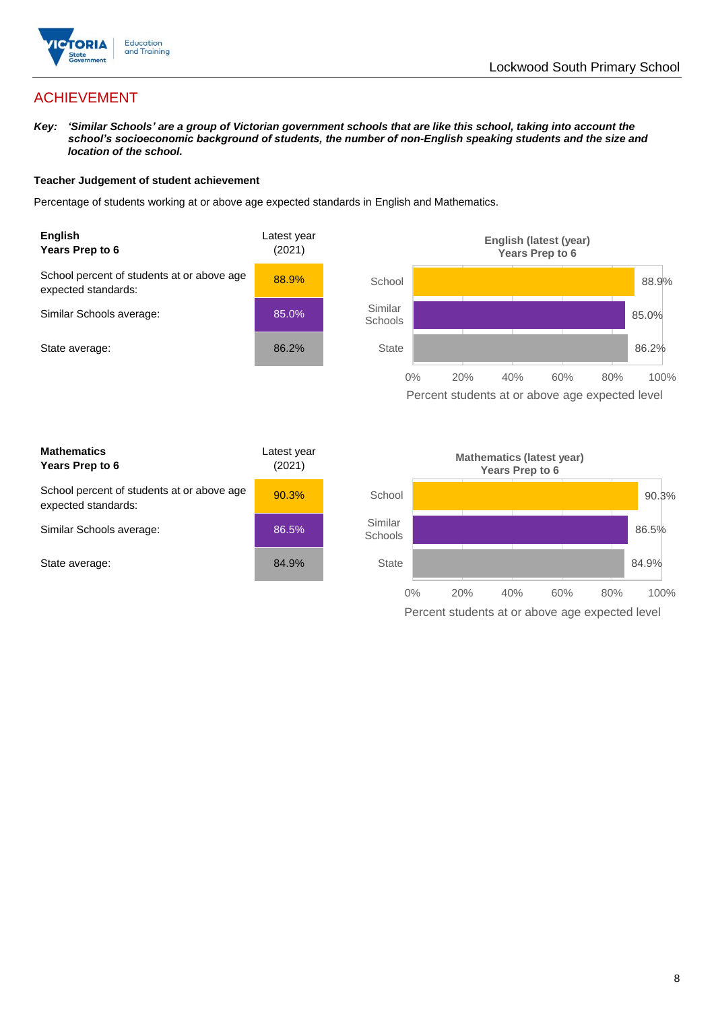

# ACHIEVEMENT

*Key: 'Similar Schools' are a group of Victorian government schools that are like this school, taking into account the school's socioeconomic background of students, the number of non-English speaking students and the size and location of the school.*

### **Teacher Judgement of student achievement**

Percentage of students working at or above age expected standards in English and Mathematics.



Percent students at or above age expected level

| <b>Mathematics</b><br>Years Prep to 6                             | Latest year<br>(2021) |
|-------------------------------------------------------------------|-----------------------|
| School percent of students at or above age<br>expected standards: | 90.3%                 |
| Similar Schools average:                                          | 86.5%                 |
| State average:                                                    | 84.9%                 |

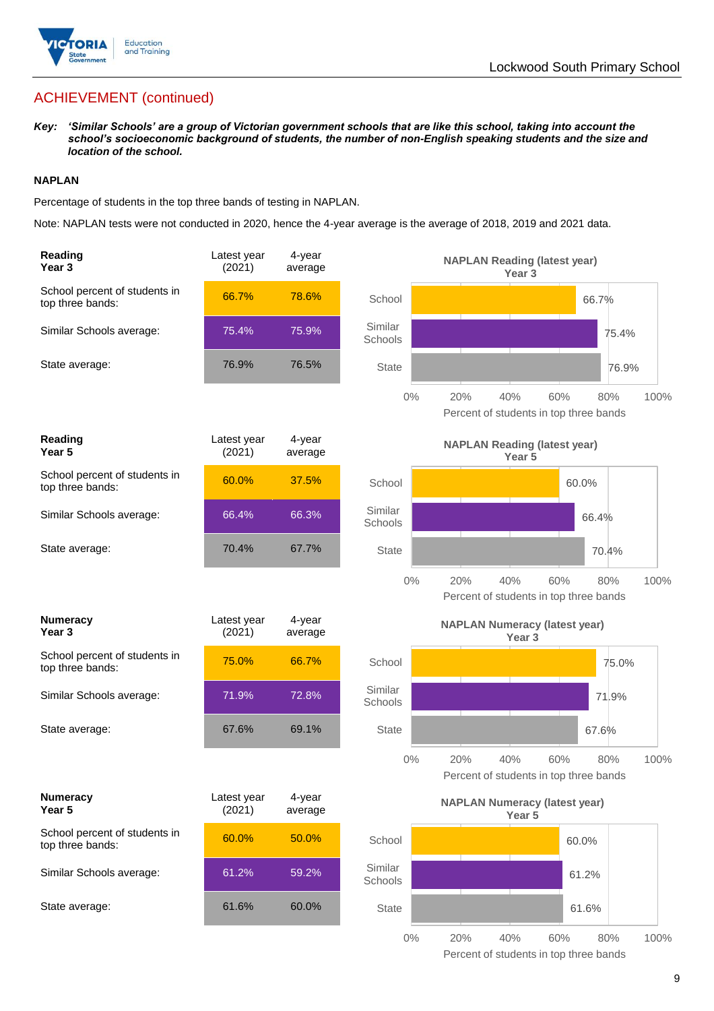

# ACHIEVEMENT (continued)

*Key: 'Similar Schools' are a group of Victorian government schools that are like this school, taking into account the school's socioeconomic background of students, the number of non-English speaking students and the size and location of the school.*

### **NAPLAN**

Percentage of students in the top three bands of testing in NAPLAN.

Note: NAPLAN tests were not conducted in 2020, hence the 4-year average is the average of 2018, 2019 and 2021 data.

| Reading<br>Year 3                                 | Latest year<br>(2021) | 4-year<br>average |                    | <b>NAPLAN Reading (latest year)</b><br>Year <sub>3</sub>                   |
|---------------------------------------------------|-----------------------|-------------------|--------------------|----------------------------------------------------------------------------|
| School percent of students in<br>top three bands: | 66.7%                 | 78.6%             | School             | 66.7%                                                                      |
| Similar Schools average:                          | 75.4%                 | 75.9%             | Similar<br>Schools | 75.4%                                                                      |
| State average:                                    | 76.9%                 | 76.5%             | <b>State</b>       | 76.9%                                                                      |
|                                                   |                       |                   | $0\%$              | 20%<br>40%<br>60%<br>100%<br>80%<br>Percent of students in top three bands |
| Reading<br>Year <sub>5</sub>                      | Latest year<br>(2021) | 4-year<br>average |                    | <b>NAPLAN Reading (latest year)</b><br>Year 5                              |
| School percent of students in<br>top three bands: | 60.0%                 | 37.5%             | School             | 60.0%                                                                      |
| Similar Schools average:                          | 66.4%                 | 66.3%             | Similar<br>Schools | 66.4%                                                                      |
| State average:                                    | 70.4%                 | 67.7%             | <b>State</b>       | 70.4%                                                                      |
|                                                   |                       |                   | $0\%$              | 20%<br>40%<br>60%<br>100%<br>80%<br>Percent of students in top three bands |
| <b>Numeracy</b><br>Year <sub>3</sub>              | Latest year<br>(2021) | 4-year<br>average |                    | <b>NAPLAN Numeracy (latest year)</b><br>Year <sub>3</sub>                  |
| School percent of students in<br>top three bands: | 75.0%                 | 66.7%             | School             | 75.0%                                                                      |
| Similar Schools average:                          | 71.9%                 | 72.8%             | Similar<br>Schools | 71.9%                                                                      |
| State average:                                    | 67.6%                 | 69.1%             | <b>State</b>       | 67.6%                                                                      |
|                                                   |                       |                   | $0\%$              | 40%<br>20%<br>60%<br>80%<br>100%<br>Percent of students in top three bands |
| <b>Numeracy</b><br>Year 5                         | Latest year<br>(2021) | 4-year<br>average |                    | <b>NAPLAN Numeracy (latest year)</b><br>Year 5                             |
| School percent of students in<br>top three bands: | 60.0%                 | 50.0%             | School             | 60.0%                                                                      |
| Similar Schools average:                          | 61.2%                 | 59.2%             | Similar<br>Schools | 61.2%                                                                      |
| State average:                                    | 61.6%                 | 60.0%             | State              | 61.6%                                                                      |
|                                                   |                       |                   | $0\%$              | 20%<br>40%<br>60%<br>80%<br>100%                                           |

Percent of students in top three bands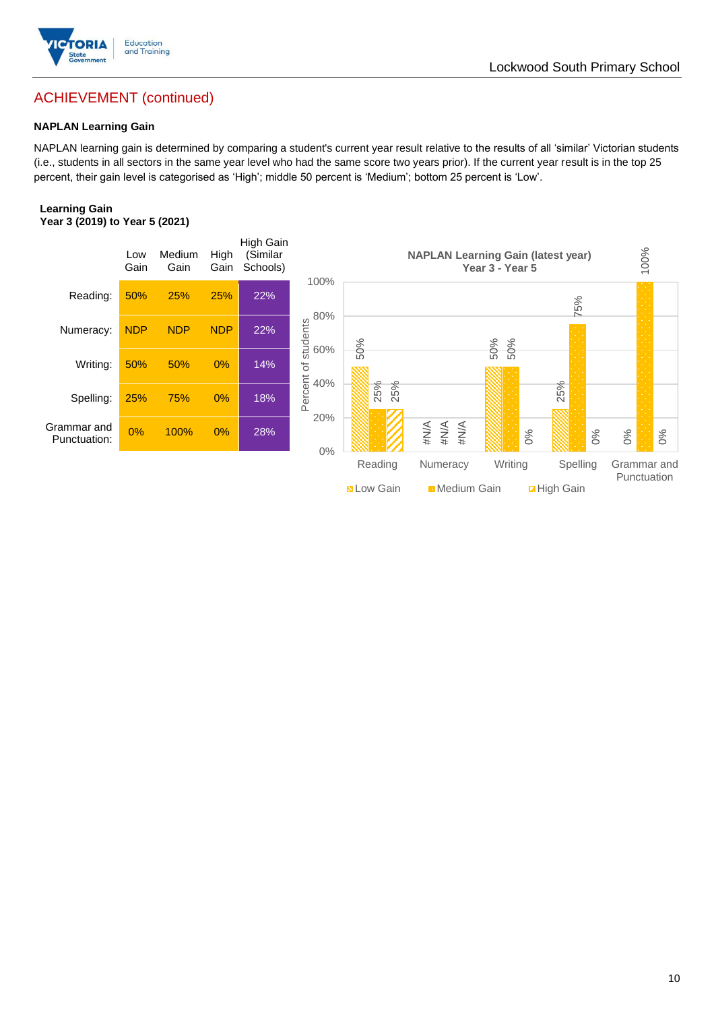

## Lockwood South Primary School

# ACHIEVEMENT (continued)

### **NAPLAN Learning Gain**

NAPLAN learning gain is determined by comparing a student's current year result relative to the results of all 'similar' Victorian students (i.e., students in all sectors in the same year level who had the same score two years prior). If the current year result is in the top 25 percent, their gain level is categorised as 'High'; middle 50 percent is 'Medium'; bottom 25 percent is 'Low'.

#### **Learning Gain Year 3 (2019) to Year 5 (2021)**

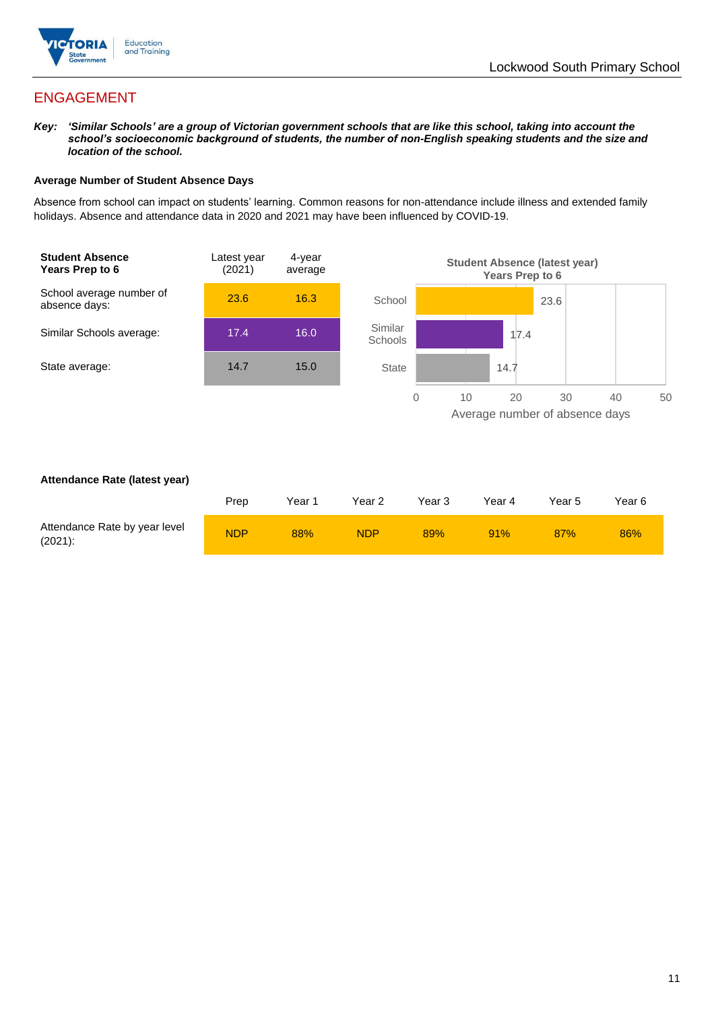

# ENGAGEMENT

*Key: 'Similar Schools' are a group of Victorian government schools that are like this school, taking into account the school's socioeconomic background of students, the number of non-English speaking students and the size and location of the school.*

### **Average Number of Student Absence Days**

Absence from school can impact on students' learning. Common reasons for non-attendance include illness and extended family holidays. Absence and attendance data in 2020 and 2021 may have been influenced by COVID-19.



### **Attendance Rate (latest year)**

|                                             | Prep       | Year 1 | Year 2 | Year 3 | Year 4 | Year 5 | Year 6 |
|---------------------------------------------|------------|--------|--------|--------|--------|--------|--------|
| Attendance Rate by year level<br>$(2021)$ : | <b>NDP</b> | 88%    | NDP    | 89%    | 91%    | 87%    | 86%    |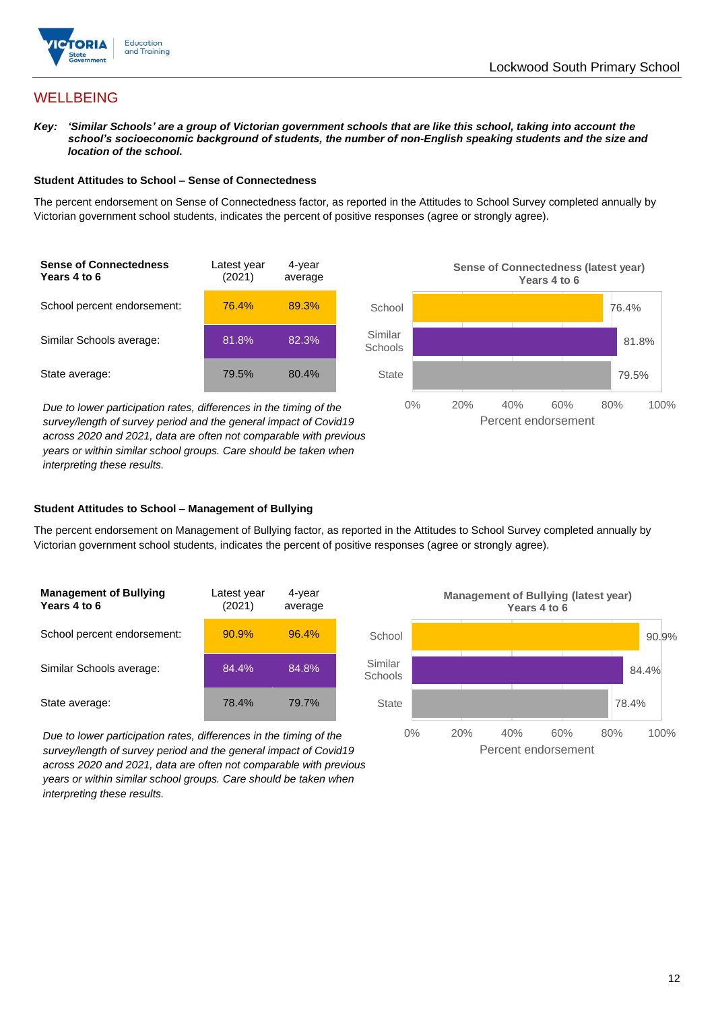

# **WELLBEING**

*Key: 'Similar Schools' are a group of Victorian government schools that are like this school, taking into account the*  school's socioeconomic background of students, the number of non-English speaking students and the size and *location of the school.*

### **Student Attitudes to School – Sense of Connectedness**

The percent endorsement on Sense of Connectedness factor, as reported in the Attitudes to School Survey completed annually by Victorian government school students, indicates the percent of positive responses (agree or strongly agree).



*Due to lower participation rates, differences in the timing of the survey/length of survey period and the general impact of Covid19 across 2020 and 2021, data are often not comparable with previous years or within similar school groups. Care should be taken when interpreting these results.*



### **Student Attitudes to School – Management of Bullying**

The percent endorsement on Management of Bullying factor, as reported in the Attitudes to School Survey completed annually by Victorian government school students, indicates the percent of positive responses (agree or strongly agree).

| <b>Management of Bullying</b><br>Years 4 to 6 | Latest year<br>(2021) | 4-year<br>average |  |
|-----------------------------------------------|-----------------------|-------------------|--|
| School percent endorsement:                   | 90.9%                 | 96.4%             |  |
| Similar Schools average:                      | 84.4%                 | 84.8%             |  |
| State average:                                | 78.4%                 | 79.7%             |  |

*Due to lower participation rates, differences in the timing of the survey/length of survey period and the general impact of Covid19 across 2020 and 2021, data are often not comparable with previous years or within similar school groups. Care should be taken when interpreting these results.*

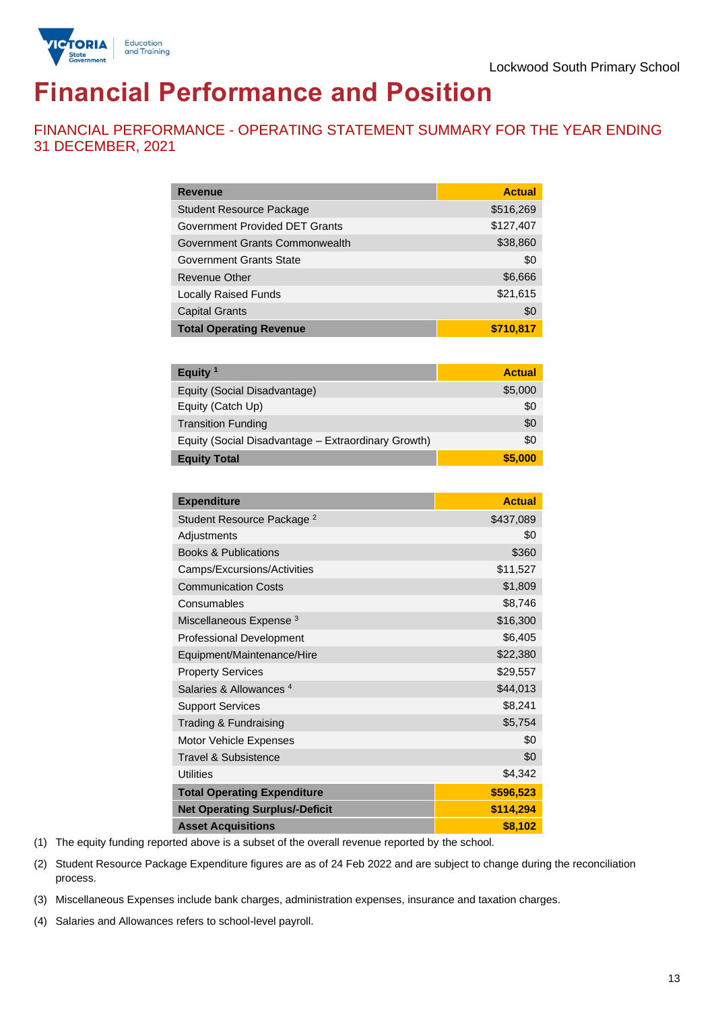

# **Financial Performance and Position**

FINANCIAL PERFORMANCE - OPERATING STATEMENT SUMMARY FOR THE YEAR ENDING 31 DECEMBER, 2021

| <b>Revenue</b>                  | <b>Actual</b> |
|---------------------------------|---------------|
| <b>Student Resource Package</b> | \$516,269     |
| Government Provided DET Grants  | \$127,407     |
| Government Grants Commonwealth  | \$38,860      |
| Government Grants State         | \$0           |
| Revenue Other                   | \$6,666       |
| <b>Locally Raised Funds</b>     | \$21,615      |
| <b>Capital Grants</b>           | \$0           |
| <b>Total Operating Revenue</b>  | \$710.817     |

| Equity <sup>1</sup>                                 | <b>Actual</b> |
|-----------------------------------------------------|---------------|
| Equity (Social Disadvantage)                        | \$5,000       |
| Equity (Catch Up)                                   | \$0           |
| <b>Transition Funding</b>                           | \$0           |
| Equity (Social Disadvantage - Extraordinary Growth) | \$0           |
| <b>Equity Total</b>                                 | \$5,000       |

| <b>Expenditure</b>                    | <b>Actual</b> |
|---------------------------------------|---------------|
| Student Resource Package <sup>2</sup> | \$437,089     |
| Adjustments                           | \$0           |
| <b>Books &amp; Publications</b>       | \$360         |
| Camps/Excursions/Activities           | \$11,527      |
| <b>Communication Costs</b>            | \$1,809       |
| Consumables                           | \$8,746       |
| Miscellaneous Expense <sup>3</sup>    | \$16,300      |
| <b>Professional Development</b>       | \$6,405       |
| Equipment/Maintenance/Hire            | \$22,380      |
| <b>Property Services</b>              | \$29,557      |
| Salaries & Allowances <sup>4</sup>    | \$44,013      |
| <b>Support Services</b>               | \$8,241       |
| Trading & Fundraising                 | \$5,754       |
| Motor Vehicle Expenses                | \$0           |
| Travel & Subsistence                  | \$0           |
| <b>Utilities</b>                      | \$4,342       |
| <b>Total Operating Expenditure</b>    | \$596,523     |
| <b>Net Operating Surplus/-Deficit</b> | \$114,294     |
| <b>Asset Acquisitions</b>             | \$8,102       |

(1) The equity funding reported above is a subset of the overall revenue reported by the school.

(2) Student Resource Package Expenditure figures are as of 24 Feb 2022 and are subject to change during the reconciliation process.

(3) Miscellaneous Expenses include bank charges, administration expenses, insurance and taxation charges.

(4) Salaries and Allowances refers to school-level payroll.